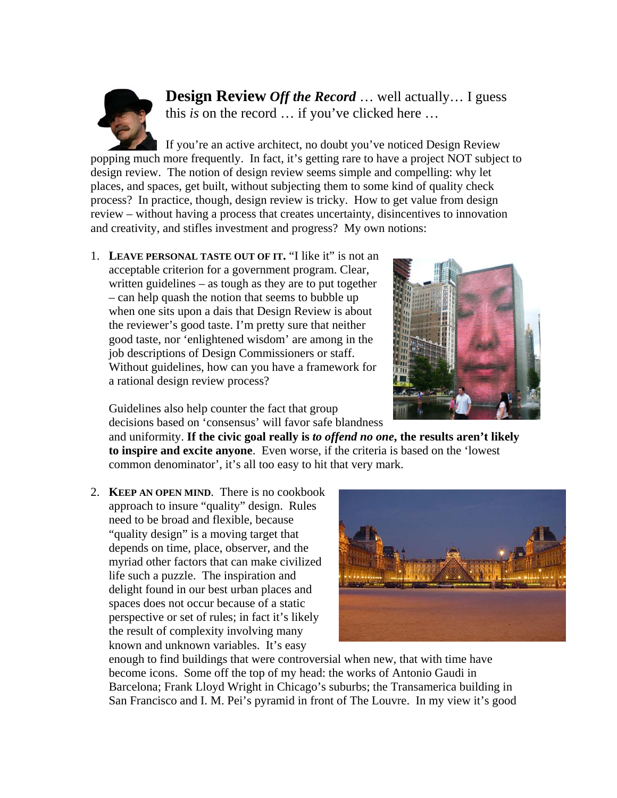

**Design Review** *Off the Record* … well actually… I guess this *is* on the record … if you've clicked here …

If you're an active architect, no doubt you've noticed Design Review popping much more frequently. In fact, it's getting rare to have a project NOT subject to design review. The notion of design review seems simple and compelling: why let places, and spaces, get built, without subjecting them to some kind of quality check process? In practice, though, design review is tricky. How to get value from design review – without having a process that creates uncertainty, disincentives to innovation and creativity, and stifles investment and progress? My own notions:

1. **LEAVE PERSONAL TASTE OUT OF IT.** "I like it" is not an acceptable criterion for a government program. Clear, written guidelines – as tough as they are to put together – can help quash the notion that seems to bubble up when one sits upon a dais that Design Review is about the reviewer's good taste. I'm pretty sure that neither good taste, nor 'enlightened wisdom' are among in the job descriptions of Design Commissioners or staff. Without guidelines, how can you have a framework for a rational design review process?



Guidelines also help counter the fact that group decisions based on 'consensus' will favor safe blandness

and uniformity. **If the civic goal really is** *to offend no one***, the results aren't likely to inspire and excite anyone**. Even worse, if the criteria is based on the 'lowest common denominator', it's all too easy to hit that very mark.

2. **KEEP AN OPEN MIND**. There is no cookbook approach to insure "quality" design. Rules need to be broad and flexible, because "quality design" is a moving target that depends on time, place, observer, and the myriad other factors that can make civilized life such a puzzle. The inspiration and delight found in our best urban places and spaces does not occur because of a static perspective or set of rules; in fact it's likely the result of complexity involving many known and unknown variables. It's easy



enough to find buildings that were controversial when new, that with time have become icons. Some off the top of my head: the works of Antonio Gaudi in Barcelona; Frank Lloyd Wright in Chicago's suburbs; the Transamerica building in San Francisco and I. M. Pei's pyramid in front of The Louvre. In my view it's good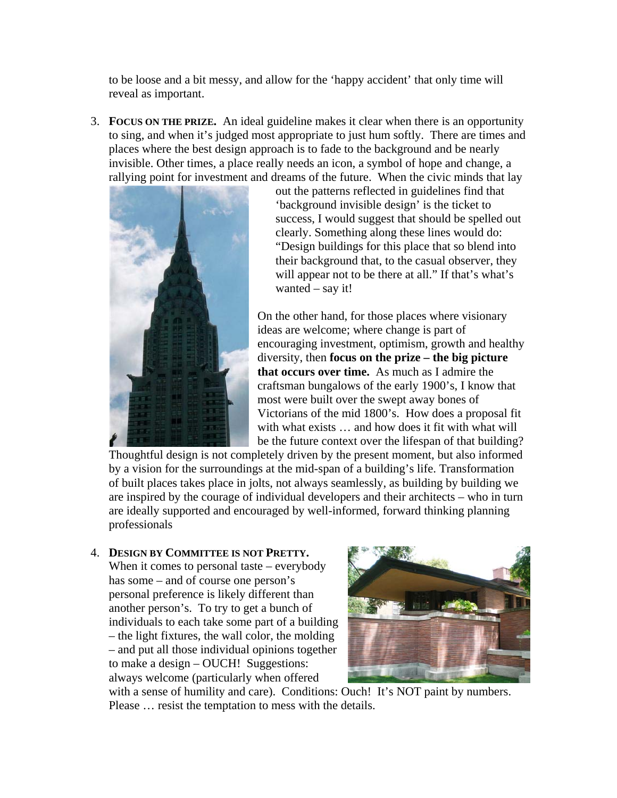to be loose and a bit messy, and allow for the 'happy accident' that only time will reveal as important.

3. **FOCUS ON THE PRIZE.** An ideal guideline makes it clear when there is an opportunity to sing, and when it's judged most appropriate to just hum softly. There are times and places where the best design approach is to fade to the background and be nearly invisible. Other times, a place really needs an icon, a symbol of hope and change, a rallying point for investment and dreams of the future. When the civic minds that lay



out the patterns reflected in guidelines find that 'background invisible design' is the ticket to success, I would suggest that should be spelled out clearly. Something along these lines would do: "Design buildings for this place that so blend into their background that, to the casual observer, they will appear not to be there at all." If that's what's wanted – say it!

On the other hand, for those places where visionary ideas are welcome; where change is part of encouraging investment, optimism, growth and healthy diversity, then **focus on the prize – the big picture that occurs over time.** As much as I admire the craftsman bungalows of the early 1900's, I know that most were built over the swept away bones of Victorians of the mid 1800's. How does a proposal fit with what exists … and how does it fit with what will be the future context over the lifespan of that building?

Thoughtful design is not completely driven by the present moment, but also informed by a vision for the surroundings at the mid-span of a building's life. Transformation of built places takes place in jolts, not always seamlessly, as building by building we are inspired by the courage of individual developers and their architects – who in turn are ideally supported and encouraged by well-informed, forward thinking planning professionals

## 4. **DESIGN BY COMMITTEE IS NOT PRETTY.**

When it comes to personal taste – everybody has some – and of course one person's personal preference is likely different than another person's. To try to get a bunch of individuals to each take some part of a b uilding – the light fixtures, the wall color, the molding – and put all those individual opinions together to make a design – OUCH! Suggestio ns:always welcome (particularly when offered



with a sense of humility and care). Conditions: Ouch! It's NOT paint by numbers. Please … resist the temptation to mess with the details.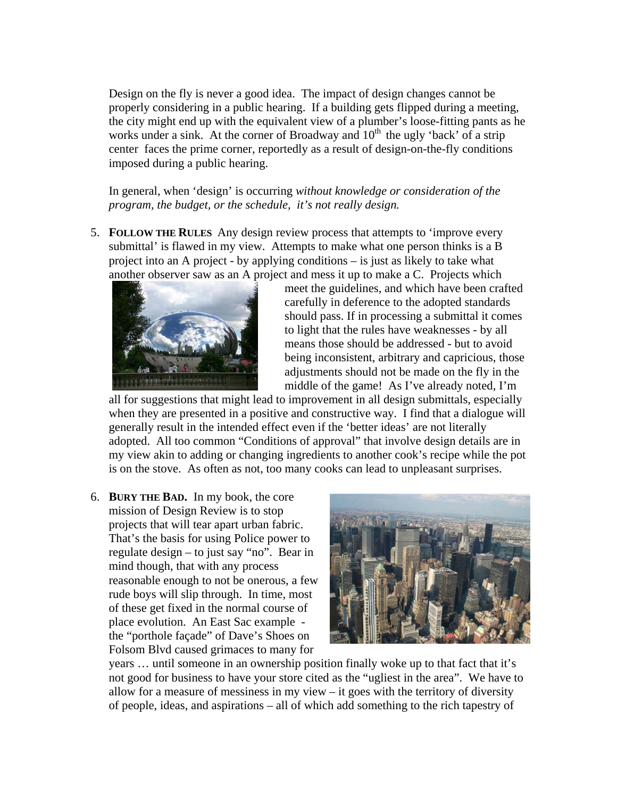Design on the fly is never a good idea. The impact of design changes cannot be properly considering in a public hearing. If a building gets flipped during a meeting, the city might end up with the equivalent view of a plumber's loose-fitting pants as he works under a sink. At the corner of Broadway and  $10<sup>th</sup>$  the ugly 'back' of a strip center faces the prime corner, reportedly as a result of design-on-the-fly conditions imposed during a public hearing.

In general, when 'design' is occurring *without knowledge or consideration of the program, the budget, or the schedule, it's not really design.*

5. **FOLLOW THE RULES** Any design review process that attempts to 'improve every submittal' is flawed in my view. Attempts to make what one person thinks is a B project into an A project - by applying conditions – is just as likely to take what another observer saw as an A project and mess it up to make a C. Projects which



meet the guidelines, and which have been crafted carefully in deference to the adopted standards should pass. If in processing a submittal it comes to light that the rules have weaknesses - by all means those should be addressed - but to avoid being inconsistent, arbitrary and capricious, those adjustments should not be made on the fly in the middle of the game! As I've already noted, I'm

all for suggestions that might lead to improvement in all design submittals, especially when they are presented in a positive and constructive way. I find that a dialogue will generally result in the intended effect even if the 'better ideas' are not literally adopted. All too common "Conditions of approval" that involve design details are in my view akin to adding or changing ingredients to another cook's recipe while the pot is on the stove. As often as not, too many cooks can lead to unpleasant surprises.

6. **BURY THE BAD.** In my book, the core mission of Design Review is to stop projects that will tear apart urban fabric. That's the basis for using Police power to regulate design – to just say "no". Bear in mind though, that with any process reasonable enough to not be onerous, a few rude boys will slip through. In time, most of these get fixed in the normal course of place evolution. An East Sac example the "porthole façade" of Dave's Shoes on Folsom Blvd caused grimaces to many for



years … until someone in an ownership position finally woke up to that fact that it's not good for business to have your store cited as the "ugliest in the area". We have to allow for a measure of messiness in my view – it goes with the territory of diversity of people, ideas, and aspirations – all of which add something to the rich tapestry of